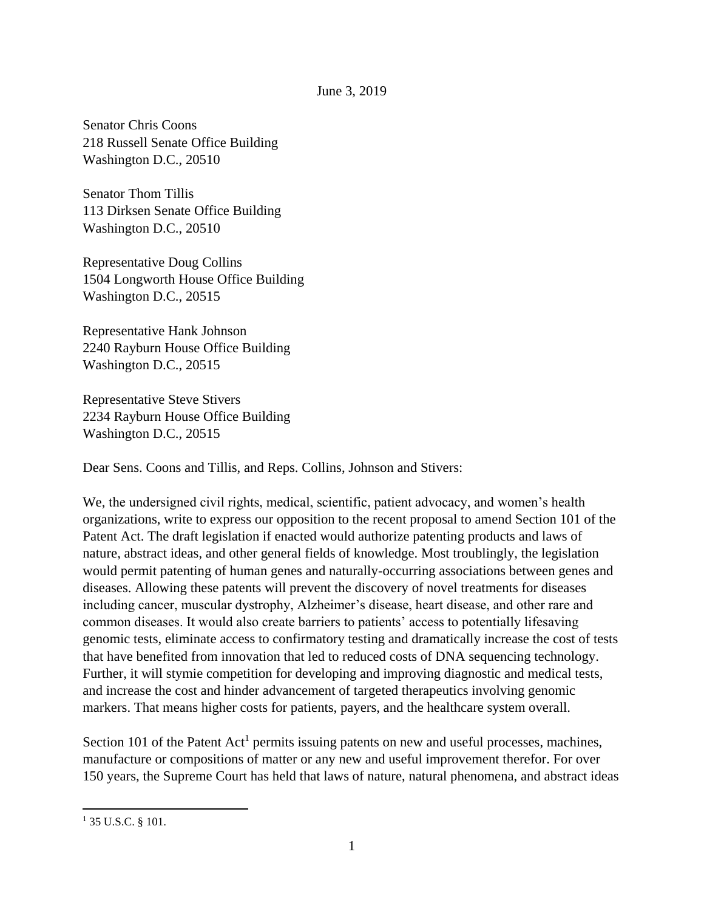## June 3, 2019

Senator Chris Coons 218 Russell Senate Office Building Washington D.C., 20510

Senator Thom Tillis 113 Dirksen Senate Office Building Washington D.C., 20510

Representative Doug Collins 1504 Longworth House Office Building Washington D.C., 20515

Representative Hank Johnson 2240 Rayburn House Office Building Washington D.C., 20515

Representative Steve Stivers 2234 Rayburn House Office Building Washington D.C., 20515

Dear Sens. Coons and Tillis, and Reps. Collins, Johnson and Stivers:

We, the undersigned civil rights, medical, scientific, patient advocacy, and women's health organizations, write to express our opposition to the recent proposal to amend Section 101 of the Patent Act. The draft legislation if enacted would authorize patenting products and laws of nature, abstract ideas, and other general fields of knowledge. Most troublingly, the legislation would permit patenting of human genes and naturally-occurring associations between genes and diseases. Allowing these patents will prevent the discovery of novel treatments for diseases including cancer, muscular dystrophy, Alzheimer's disease, heart disease, and other rare and common diseases. It would also create barriers to patients' access to potentially lifesaving genomic tests, eliminate access to confirmatory testing and dramatically increase the cost of tests that have benefited from innovation that led to reduced costs of DNA sequencing technology. Further, it will stymie competition for developing and improving diagnostic and medical tests, and increase the cost and hinder advancement of targeted therapeutics involving genomic markers. That means higher costs for patients, payers, and the healthcare system overall.

Section 101 of the Patent  $Act<sup>1</sup>$  permits issuing patents on new and useful processes, machines, manufacture or compositions of matter or any new and useful improvement therefor. For over 150 years, the Supreme Court has held that laws of nature, natural phenomena, and abstract ideas

 $\overline{\phantom{a}}$ 

<sup>&</sup>lt;sup>1</sup> 35 U.S.C. § 101.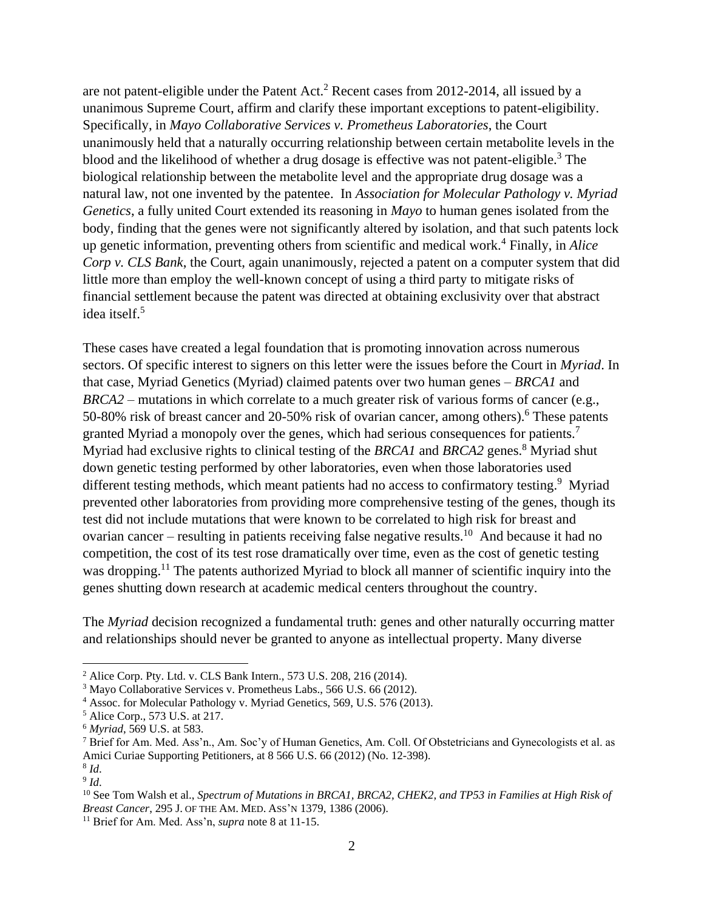are not patent-eligible under the Patent Act.<sup>2</sup> Recent cases from 2012-2014, all issued by a unanimous Supreme Court, affirm and clarify these important exceptions to patent-eligibility. Specifically, in *Mayo Collaborative Services v. Prometheus Laboratories*, the Court unanimously held that a naturally occurring relationship between certain metabolite levels in the blood and the likelihood of whether a drug dosage is effective was not patent-eligible.<sup>3</sup> The biological relationship between the metabolite level and the appropriate drug dosage was a natural law, not one invented by the patentee. In *Association for Molecular Pathology v. Myriad Genetics*, a fully united Court extended its reasoning in *Mayo* to human genes isolated from the body, finding that the genes were not significantly altered by isolation, and that such patents lock up genetic information, preventing others from scientific and medical work.<sup>4</sup> Finally, in *Alice Corp v. CLS Bank*, the Court, again unanimously, rejected a patent on a computer system that did little more than employ the well-known concept of using a third party to mitigate risks of financial settlement because the patent was directed at obtaining exclusivity over that abstract idea itself.<sup>5</sup>

These cases have created a legal foundation that is promoting innovation across numerous sectors. Of specific interest to signers on this letter were the issues before the Court in *Myriad*. In that case, Myriad Genetics (Myriad) claimed patents over two human genes – *BRCA1* and *BRCA2* – mutations in which correlate to a much greater risk of various forms of cancer (e.g., 50-80% risk of breast cancer and 20-50% risk of ovarian cancer, among others).<sup>6</sup> These patents granted Myriad a monopoly over the genes, which had serious consequences for patients.<sup>7</sup> Myriad had exclusive rights to clinical testing of the *BRCA1* and *BRCA2* genes.<sup>8</sup> Myriad shut down genetic testing performed by other laboratories, even when those laboratories used different testing methods, which meant patients had no access to confirmatory testing.<sup>9</sup> Myriad prevented other laboratories from providing more comprehensive testing of the genes, though its test did not include mutations that were known to be correlated to high risk for breast and ovarian cancer – resulting in patients receiving false negative results.<sup>10</sup> And because it had no competition, the cost of its test rose dramatically over time, even as the cost of genetic testing was dropping.<sup>11</sup> The patents authorized Myriad to block all manner of scientific inquiry into the genes shutting down research at academic medical centers throughout the country.

The *Myriad* decision recognized a fundamental truth: genes and other naturally occurring matter and relationships should never be granted to anyone as intellectual property. Many diverse

 $\overline{\phantom{a}}$ 

<sup>2</sup> Alice Corp. Pty. Ltd. v. CLS Bank Intern., 573 U.S. 208, 216 (2014).

<sup>3</sup> Mayo Collaborative Services v. Prometheus Labs., 566 U.S. 66 (2012).

<sup>4</sup> Assoc. for Molecular Pathology v. Myriad Genetics, 569, U.S. 576 (2013).

<sup>5</sup> Alice Corp., 573 U.S. at 217.

<sup>6</sup> *Myriad*, 569 U.S. at 583.

<sup>7</sup> Brief for Am. Med. Ass'n., Am. Soc'y of Human Genetics, Am. Coll. Of Obstetricians and Gynecologists et al. as Amici Curiae Supporting Petitioners, at 8 566 U.S. 66 (2012) (No. 12-398).

<sup>8</sup> *Id*. 9 *Id*.

<sup>10</sup> See Tom Walsh et al., *Spectrum of Mutations in BRCA1, BRCA2, CHEK2, and TP53 in Families at High Risk of Breast Cancer*, 295 J. OF THE AM. MED. ASS'N 1379, 1386 (2006).

<sup>11</sup> Brief for Am. Med. Ass'n, *supra* note 8 at 11-15.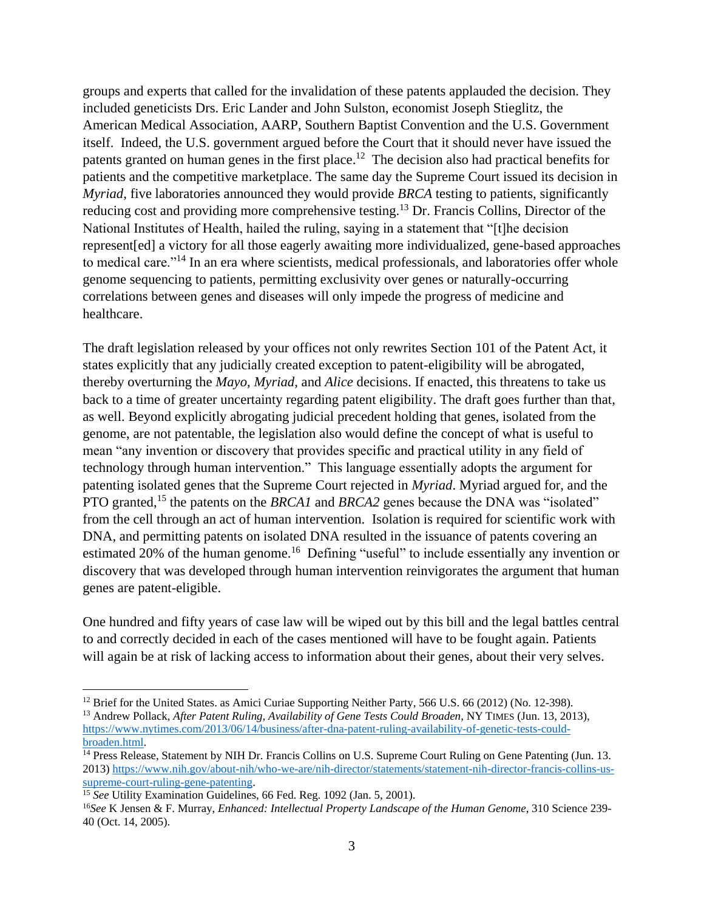groups and experts that called for the invalidation of these patents applauded the decision. They included geneticists Drs. Eric Lander and John Sulston, economist Joseph Stieglitz, the American Medical Association, AARP, Southern Baptist Convention and the U.S. Government itself. Indeed, the U.S. government argued before the Court that it should never have issued the patents granted on human genes in the first place.<sup>12</sup> The decision also had practical benefits for patients and the competitive marketplace. The same day the Supreme Court issued its decision in *Myriad*, five laboratories announced they would provide *BRCA* testing to patients, significantly reducing cost and providing more comprehensive testing.<sup>13</sup> Dr. Francis Collins, Director of the National Institutes of Health, hailed the ruling, saying in a statement that "[t]he decision represent[ed] a victory for all those eagerly awaiting more individualized, gene-based approaches to medical care."<sup>14</sup> In an era where scientists, medical professionals, and laboratories offer whole genome sequencing to patients, permitting exclusivity over genes or naturally-occurring correlations between genes and diseases will only impede the progress of medicine and healthcare.

The draft legislation released by your offices not only rewrites Section 101 of the Patent Act, it states explicitly that any judicially created exception to patent-eligibility will be abrogated, thereby overturning the *Mayo, Myriad,* and *Alice* decisions. If enacted, this threatens to take us back to a time of greater uncertainty regarding patent eligibility. The draft goes further than that, as well. Beyond explicitly abrogating judicial precedent holding that genes, isolated from the genome, are not patentable, the legislation also would define the concept of what is useful to mean "any invention or discovery that provides specific and practical utility in any field of technology through human intervention." This language essentially adopts the argument for patenting isolated genes that the Supreme Court rejected in *Myriad*. Myriad argued for, and the PTO granted,<sup>15</sup> the patents on the *BRCA1* and *BRCA2* genes because the DNA was "isolated" from the cell through an act of human intervention. Isolation is required for scientific work with DNA, and permitting patents on isolated DNA resulted in the issuance of patents covering an estimated 20% of the human genome.<sup>16</sup> Defining "useful" to include essentially any invention or discovery that was developed through human intervention reinvigorates the argument that human genes are patent-eligible.

One hundred and fifty years of case law will be wiped out by this bill and the legal battles central to and correctly decided in each of the cases mentioned will have to be fought again. Patients will again be at risk of lacking access to information about their genes, about their very selves.

 $\overline{\phantom{a}}$ <sup>12</sup> Brief for the United States. as Amici Curiae Supporting Neither Party, 566 U.S. 66 (2012) (No. 12-398).

<sup>13</sup> Andrew Pollack, *After Patent Ruling, Availability of Gene Tests Could Broaden*, NY TIMES (Jun. 13, 2013), [https://www.nytimes.com/2013/06/14/business/after-dna-patent-ruling-availability-of-genetic-tests-could](https://www.nytimes.com/2013/06/14/business/after-dna-patent-ruling-availability-of-genetic-tests-could-broaden.html)[broaden.html.](https://www.nytimes.com/2013/06/14/business/after-dna-patent-ruling-availability-of-genetic-tests-could-broaden.html)

<sup>&</sup>lt;sup>14</sup> Press Release, Statement by NIH Dr. Francis Collins on U.S. Supreme Court Ruling on Gene Patenting (Jun. 13. 2013) [https://www.nih.gov/about-nih/who-we-are/nih-director/statements/statement-nih-director-francis-collins-us](https://www.nih.gov/about-nih/who-we-are/nih-director/statements/statement-nih-director-francis-collins-us-supreme-court-ruling-gene-patenting)[supreme-court-ruling-gene-patenting.](https://www.nih.gov/about-nih/who-we-are/nih-director/statements/statement-nih-director-francis-collins-us-supreme-court-ruling-gene-patenting)

<sup>&</sup>lt;sup>15</sup> *See* Utility Examination Guidelines, 66 Fed. Reg. 1092 (Jan. 5, 2001).

<sup>16</sup>*See* K Jensen & F. Murray, *Enhanced: Intellectual Property Landscape of the Human Genome*, 310 Science 239- 40 (Oct. 14, 2005).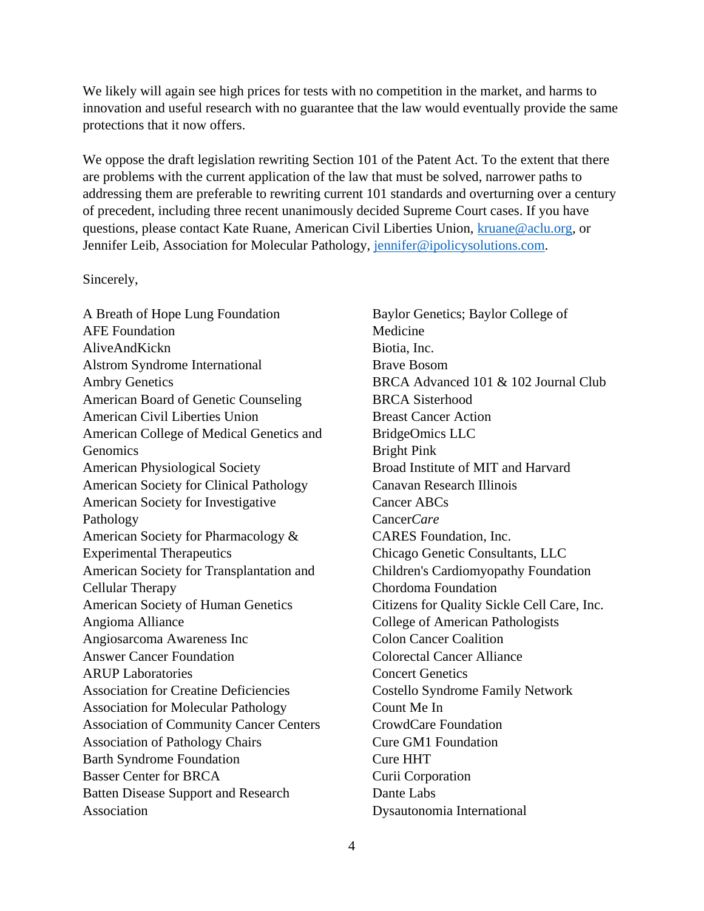We likely will again see high prices for tests with no competition in the market, and harms to innovation and useful research with no guarantee that the law would eventually provide the same protections that it now offers.

We oppose the draft legislation rewriting Section 101 of the Patent Act. To the extent that there are problems with the current application of the law that must be solved, narrower paths to addressing them are preferable to rewriting current 101 standards and overturning over a century of precedent, including three recent unanimously decided Supreme Court cases. If you have questions, please contact Kate Ruane, American Civil Liberties Union, [kruane@aclu.org,](mailto:kruane@aclu.org) or Jennifer Leib, Association for Molecular Pathology, [jennifer@ipolicysolutions.com.](mailto:jennifer@ipolicysolutions.com)

## Sincerely,

A Breath of Hope Lung Foundation AFE Foundation AliveAndKickn Alstrom Syndrome International Ambry Genetics American Board of Genetic Counseling American Civil Liberties Union American College of Medical Genetics and **Genomics** American Physiological Society American Society for Clinical Pathology American Society for Investigative Pathology American Society for Pharmacology & Experimental Therapeutics American Society for Transplantation and Cellular Therapy American Society of Human Genetics Angioma Alliance Angiosarcoma Awareness Inc Answer Cancer Foundation ARUP Laboratories Association for Creatine Deficiencies Association for Molecular Pathology Association of Community Cancer Centers Association of Pathology Chairs Barth Syndrome Foundation Basser Center for BRCA Batten Disease Support and Research Association

Baylor Genetics; Baylor College of Medicine Biotia, Inc. Brave Bosom BRCA Advanced 101 & 102 Journal Club BRCA Sisterhood Breast Cancer Action BridgeOmics LLC Bright Pink Broad Institute of MIT and Harvard Canavan Research Illinois Cancer ABCs Cancer*Care* CARES Foundation, Inc. Chicago Genetic Consultants, LLC Children's Cardiomyopathy Foundation Chordoma Foundation Citizens for Quality Sickle Cell Care, Inc. College of American Pathologists Colon Cancer Coalition Colorectal Cancer Alliance Concert Genetics Costello Syndrome Family Network Count Me In CrowdCare Foundation Cure GM1 Foundation Cure HHT Curii Corporation Dante Labs Dysautonomia International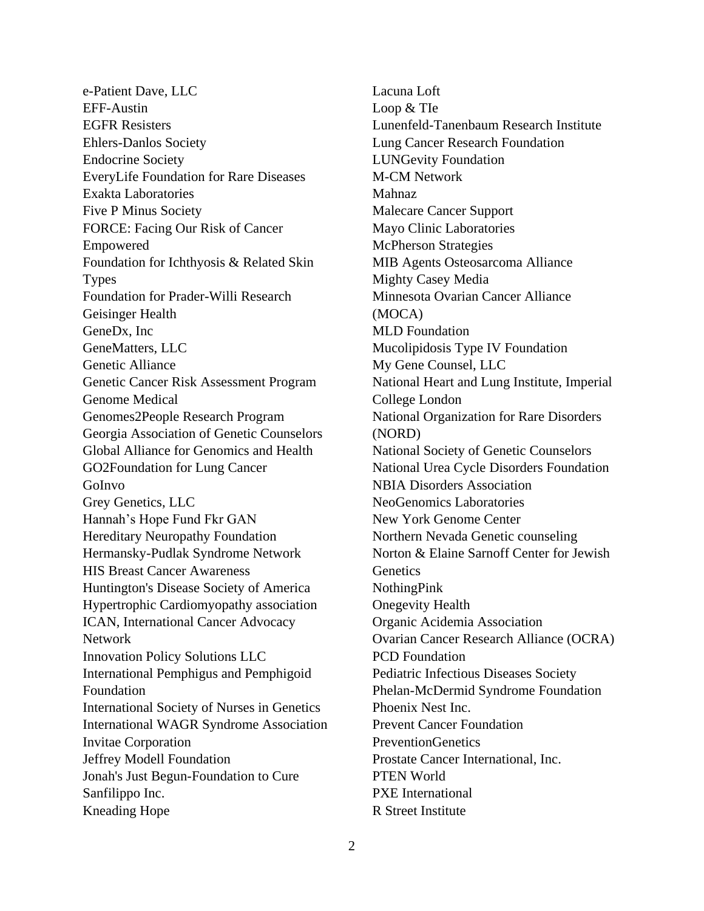e-Patient Dave, LLC EFF-Austin EGFR Resisters Ehlers-Danlos Society Endocrine Society EveryLife Foundation for Rare Diseases Exakta Laboratories Five P Minus Society FORCE: Facing Our Risk of Cancer Empowered Foundation for Ichthyosis & Related Skin Types Foundation for Prader-Willi Research Geisinger Health GeneDx, Inc GeneMatters, LLC Genetic Alliance Genetic Cancer Risk Assessment Program Genome Medical Genomes2People Research Program Georgia Association of Genetic Counselors Global Alliance for Genomics and Health GO2Foundation for Lung Cancer GoInvo Grey Genetics, LLC Hannah's Hope Fund Fkr GAN Hereditary Neuropathy Foundation Hermansky-Pudlak Syndrome Network HIS Breast Cancer Awareness Huntington's Disease Society of America Hypertrophic Cardiomyopathy association ICAN, International Cancer Advocacy Network Innovation Policy Solutions LLC International Pemphigus and Pemphigoid Foundation International Society of Nurses in Genetics International WAGR Syndrome Association Invitae Corporation Jeffrey Modell Foundation Jonah's Just Begun-Foundation to Cure Sanfilippo Inc. Kneading Hope

Lacuna Loft Loop & TIe Lunenfeld-Tanenbaum Research Institute Lung Cancer Research Foundation LUNGevity Foundation M-CM Network Mahnaz Malecare Cancer Support Mayo Clinic Laboratories McPherson Strategies MIB Agents Osteosarcoma Alliance Mighty Casey Media Minnesota Ovarian Cancer Alliance (MOCA) MLD Foundation Mucolipidosis Type IV Foundation My Gene Counsel, LLC National Heart and Lung Institute, Imperial College London National Organization for Rare Disorders (NORD) National Society of Genetic Counselors National Urea Cycle Disorders Foundation NBIA Disorders Association NeoGenomics Laboratories New York Genome Center Northern Nevada Genetic counseling Norton & Elaine Sarnoff Center for Jewish **Genetics** NothingPink Onegevity Health Organic Acidemia Association Ovarian Cancer Research Alliance (OCRA) PCD Foundation Pediatric Infectious Diseases Society Phelan-McDermid Syndrome Foundation Phoenix Nest Inc. Prevent Cancer Foundation PreventionGenetics Prostate Cancer International, Inc. PTEN World PXE International R Street Institute